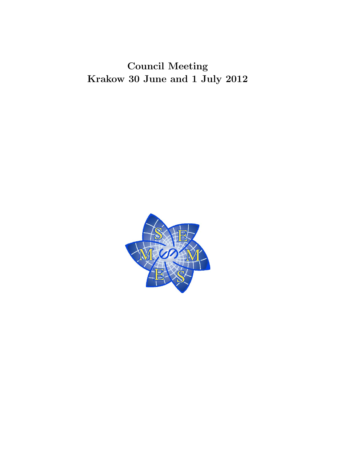Council Meeting Krakow 30 June and 1 July 2012

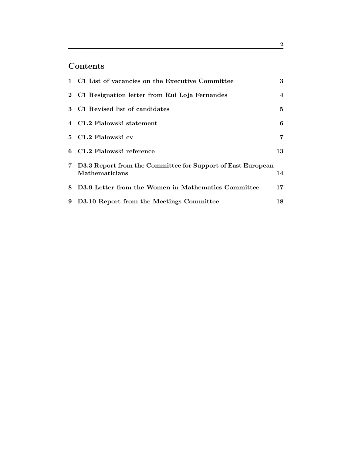# Contents

| 1 C1 List of vacancies on the Executive Committee                                      | 3           |
|----------------------------------------------------------------------------------------|-------------|
| 2 C1 Resignation letter from Rui Loja Fernandes                                        | 4           |
| 3 C1 Revised list of candidates                                                        | $5^{\circ}$ |
| 4 C1.2 Fialowski statement                                                             | 6           |
| 5 C1.2 Fialowski cv                                                                    | 7           |
| 6 C1.2 Fialowski reference                                                             | 13          |
| 7 D3.3 Report from the Committee for Support of East European<br><b>Mathematicians</b> | 14          |
| 8 D3.9 Letter from the Women in Mathematics Committee                                  | $17 \,$     |
| 9 D3.10 Report from the Meetings Committee                                             | 18          |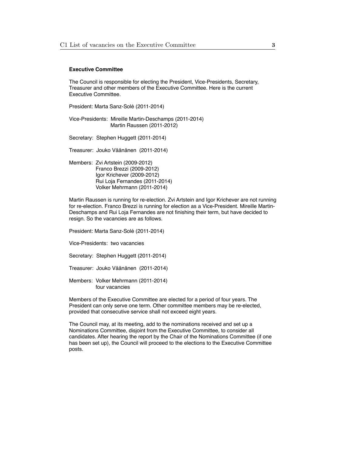### **Executive Committee**

The Council is responsible for electing the President, Vice-Presidents, Secretary, Treasurer and other members of the Executive Committee. Here is the current Executive Committee.

President: Marta Sanz-Solé (2011-2014)

Vice-Presidents: Mireille Martin-Deschamps (2011-2014) Martin Raussen (2011-2012)

Secretary: Stephen Huggett (2011-2014)

Treasurer: Jouko Väänänen (2011-2014)

Members: Zvi Artstein (2009-2012) Franco Brezzi (2009-2012) Igor Krichever (2009-2012) Rui Loja Fernandes (2011-2014) Volker Mehrmann (2011-2014)

Martin Raussen is running for re-election. Zvi Artstein and Igor Krichever are not running for re-election. Franco Brezzi is running for election as a Vice-President. Mireille Martin-Deschamps and Rui Loja Fernandes are not finishing their term, but have decided to resign. So the vacancies are as follows.

President: Marta Sanz-Solé (2011-2014)

Vice-Presidents: two vacancies

Secretary: Stephen Huggett (2011-2014)

Treasurer: Jouko Väänänen (2011-2014)

Members: Volker Mehrmann (2011-2014) four vacancies

Members of the Executive Committee are elected for a period of four years. The President can only serve one term. Other committee members may be re-elected, provided that consecutive service shall not exceed eight years.

The Council may, at its meeting, add to the nominations received and set up a Nominations Committee, disjoint from the Executive Committee, to consider all candidates. After hearing the report by the Chair of the Nominations Committee (if one has been set up), the Council will proceed to the elections to the Executive Committee posts.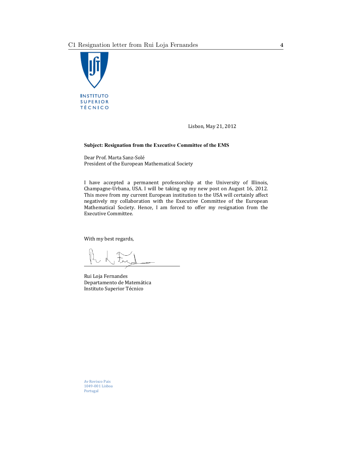

Lisbon, May 21, 2012

## **Subject: Resignation from the Executive Committee of the EMS**

Dear Prof. Marta Sanz-Solé President of the European Mathematical Society

I have accepted a permanent professorship at the University of Illinois, Champagne-Urbana, USA. I will be taking up my new post on August 16, 2012. This move from my current European institution to the USA will certainly affect negatively my collaboration with the Executive Committee of the European Mathematical Society. Hence, I am forced to offer my resignation from the Executive Committee.

With my best regards,

Rui Loja Fernandes Departamento de Matemática Instituto Superior Técnico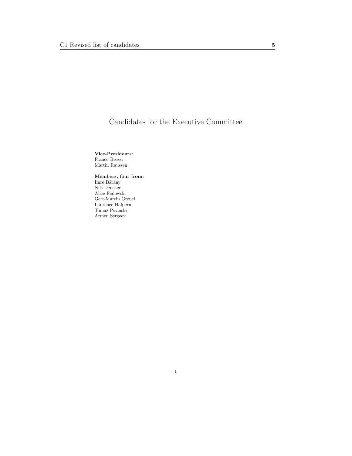# Candidates for the Executive Committee

Vice-Presidents: Franco Brezzi Martin Raussen

Members, four from: Imre Bárány Nils Dencker Alice Fialowski Gert-Martin Greuel Laurence Halpern Tomaž Pisanski Armen Sergeev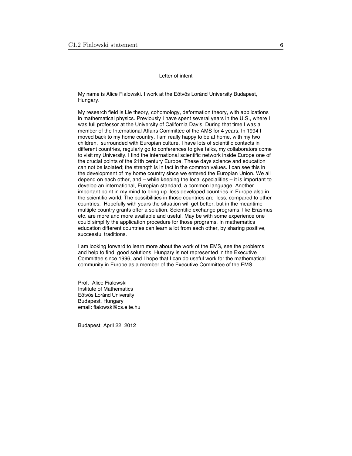#### Letter of intent

My name is Alice Fialowski. I work at the Eötvös Loránd University Budapest, Hungary.

My research field is Lie theory, cohomology, deformation theory, with applications in mathematical physics. Previously I have spent several years in the U.S., where I was full professor at the University of California Davis. During that time I was a member of the International Affairs Committee of the AMS for 4 years. In 1994 I moved back to my home country. I am really happy to be at home, with my two children, surrounded with Europian culture. I have lots of scientific contacts in different countries, regularly go to conferences to give talks, my collaborators come to visit my University. I find the international scientific network inside Europe one of the crucial points of the 21th century Europe. These days science and education can not be isolated; the strength is in fact in the common values. I can see this in the development of my home country since we entered the Europian Union. We all depend on each other, and – while keeping the local specialities – it is important to develop an international, Europian standard, a common language. Another important point in my mind to bring up less developed countries in Europe also in the scientific world. The possibilities in those countries are less, compared to other countries. Hopefully with years the situation will get better, but in the meantime multiple country grants offer a solution. Scientific exchange programs, like Erasmus etc. are more and more available and useful. May be with some experience one could simplify the application procedure for those programs. In mathematics education different countries can learn a lot from each other, by sharing positive, successful traditions.

I am looking forward to learn more about the work of the EMS, see the problems and help to find good solutions. Hungary is not represented in the Executive Committee since 1996, and I hope that I can do useful work for the mathematical community in Europe as a member of the Executive Committee of the EMS.

Prof. Alice Fialowski Institute of Mathematics Eötvös Loránd University Budapest, Hungary email: fialowsk@cs.elte.hu

Budapest, April 22, 2012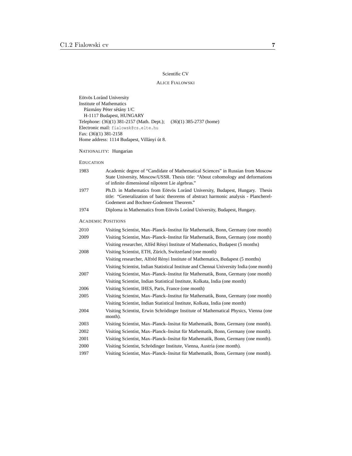# Scientific CV

### ALICE FIALOWSKI

Eötvös Loránd University Institute of Mathematics Pázmány Péter sétány 1/C H-1117 Budapest, HUNGARY Telephone: (36)(1) 381-2157 (Math. Dept.); (36)(1) 385-2737 (home) Electronic mail: fialowsk@cs.elte.hu Fax: (36)(1) 381-2158 Home address: 1114 Budapest, Villányi út 8.

NATIONALITY: Hungarian

#### EDUCATION

| 1983 | Academic degree of "Candidate of Mathematical Sciences" in Russian from Moscow<br>State University, Moscow/USSR. Thesis title: "About cohomology and deformations<br>of infinite dimensional nilpotent Lie algebras." |
|------|-----------------------------------------------------------------------------------------------------------------------------------------------------------------------------------------------------------------------|
| 1977 | Ph.D. in Mathematics from Eötvös Loránd University, Budapest, Hungary. Thesis<br>title: "Generalization of basic theorems of abstract harmonic analysis - Plancherel-<br>Godement and Bochner-Godement Theorem."      |
| 1974 | Diploma in Mathematics from Eötvös Loránd University, Budapest, Hungary.                                                                                                                                              |
|      | <b>ACADEMIC POSITIONS</b>                                                                                                                                                                                             |
| 2010 | Visiting Scientist, Max-Planck-Institut für Mathematik, Bonn, Germany (one month)                                                                                                                                     |
| 2009 | Visiting Scientist, Max-Planck-Institut für Mathematik, Bonn, Germany (one month)                                                                                                                                     |
|      | Visiting researcher, Alféd Rényi Institute of Mathematics, Budapest (5 months)                                                                                                                                        |
| 2008 | Visiting Scientist, ETH, Zürich, Switzerland (one month)                                                                                                                                                              |
|      | Visiting researcher, Alfréd Rényi Institute of Mathematics, Budapest (5 months)                                                                                                                                       |
|      | Visiting Scientist, Indian Statistical Institute and Chennai University India (one month)                                                                                                                             |
| 2007 | Visiting Scientist, Max–Planck–Institut für Mathematik, Bonn, Germany (one month)                                                                                                                                     |
|      | Visiting Scientist, Indian Statistical Institute, Kolkata, India (one month)                                                                                                                                          |
| 2006 | Visiting Scientist, IHES, Paris, France (one month)                                                                                                                                                                   |
| 2005 | Visiting Scientist, Max-Planck-Institut für Mathematik, Bonn, Germany (one month)                                                                                                                                     |
|      | Visiting Scientist, Indian Statistical Institute, Kolkata, India (one month)                                                                                                                                          |
| 2004 | Visiting Scientist, Erwin Schrödinger Institute of Mathematical Physics, Vienna (one<br>month).                                                                                                                       |
| 2003 | Visiting Scientist, Max–Planck–Insitut für Mathematik, Bonn, Germany (one month).                                                                                                                                     |
| 2002 | Visiting Scientist, Max-Planck-Insitut für Mathematik, Bonn, Germany (one month).                                                                                                                                     |
| 2001 | Visiting Scientist, Max-Planck-Insitut für Mathematik, Bonn, Germany (one month).                                                                                                                                     |
| 2000 | Visiting Scientist, Schrödinger Institute, Vienna, Austria (one month).                                                                                                                                               |
| 1997 | Visiting Scientist, Max-Planck-Insitut für Mathematik, Bonn, Germany (one month).                                                                                                                                     |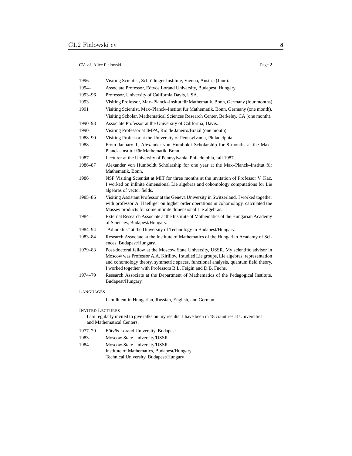| 1996      | Visiting Scientist, Schrödinger Institute, Vienna, Austria (June).                                                                                                                                                                                                                                                                    |
|-----------|---------------------------------------------------------------------------------------------------------------------------------------------------------------------------------------------------------------------------------------------------------------------------------------------------------------------------------------|
| 1994-     | Associate Professor, Eötvös Loránd University, Budapest, Hungary.                                                                                                                                                                                                                                                                     |
| 1993-96   | Professor, University of California Davis, USA.                                                                                                                                                                                                                                                                                       |
| 1993      | Visiting Professor, Max-Planck-Insitut für Mathematik, Bonn, Germany (four months).                                                                                                                                                                                                                                                   |
| 1991      | Visiting Scientist, Max-Planck-Institut für Mathematik, Bonn, Germany (one month).                                                                                                                                                                                                                                                    |
|           | Visiting Scholar, Mathematical Sciences Research Center, Berkeley, CA (one month).                                                                                                                                                                                                                                                    |
| 1990-93   | Associate Professor at the University of California, Davis.                                                                                                                                                                                                                                                                           |
| 1990      | Visiting Professor at IMPA, Rio de Janeiro/Brazil (one month).                                                                                                                                                                                                                                                                        |
| 1988-90   | Visiting Professor at the University of Pennsylvania, Philadelphia.                                                                                                                                                                                                                                                                   |
| 1988      | From January 1, Alexander von Humboldt Scholarship for 8 months at the Max-<br>Planck-Institut für Mathematik, Bonn.                                                                                                                                                                                                                  |
| 1987      | Lecturer at the University of Pennsylvania, Philadelphia, fall 1987.                                                                                                                                                                                                                                                                  |
| 1986-87   | Alexander von Humboldt Scholarship for one year at the Max-Planck-Institut für<br>Mathematik, Bonn.                                                                                                                                                                                                                                   |
| 1986      | NSF Visiting Scientist at MIT for three months at the invitation of Professor V. Kac.<br>I worked on infinite dimensional Lie algebras and cohomology computations for Lie<br>algebras of vector fields.                                                                                                                              |
| 1985-86   | Visiting Assistant Professor at the Geneva University in Switzerland. I worked together<br>with professor A. Haefliger on higher order operations in cohomology, calculated the<br>Massey products for some infinite dimensional Lie algebras.                                                                                        |
| 1984-     | External Research Associate at the Institute of Mathematics of the Hungarian Academy<br>of Sciences, Budapest/Hungary.                                                                                                                                                                                                                |
| 1984–94   | "Adjunktus" at the University of Technology in Budapest/Hungary.                                                                                                                                                                                                                                                                      |
| 1983-84   | Research Associate at the Institute of Mathematics of the Hungarian Academy of Sci-<br>ences, Budapest/Hungary.                                                                                                                                                                                                                       |
| 1979-83   | Post-doctoral fellow at the Moscow State University, USSR. My scientific advisor in<br>Moscow was Professor A.A. Kirillov. I studied Lie groups, Lie algebras, representation<br>and cohomology theory, symmetric spaces, functional analysis, quantum field theory.<br>I worked together with Professors B.L. Feigin and D.B. Fuchs. |
| 1974–79   | Research Associate at the Department of Mathematics of the Pedagogical Institute,<br>Budapest/Hungary.                                                                                                                                                                                                                                |
| LANGUAGES |                                                                                                                                                                                                                                                                                                                                       |
|           | I am fluent in Hungarian, Russian, English, and German.                                                                                                                                                                                                                                                                               |
|           |                                                                                                                                                                                                                                                                                                                                       |

#### INVITED LECTURES

I am regularly invited to give talks on my results. I have been in 18 countries at Universities and Mathematical Centers.

- 1977–79 Eötvös Loránd University, Budapest
- 1983 Moscow State University/USSR
- 1984 Moscow State University/USSR Institute of Mathematics, Budapest/Hungary Technical University, Budapest/Hungary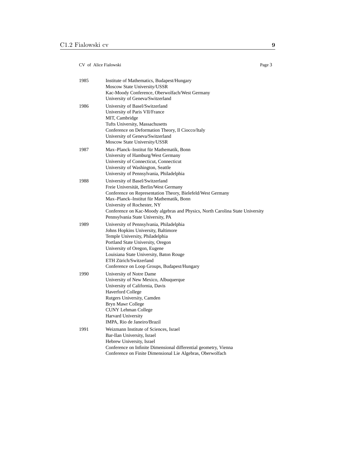| 1985 | Institute of Mathematics, Budapest/Hungary<br>Moscow State University/USSR<br>Kac-Moody Conference, Oberwolfach/West Germany<br>University of Geneva/Switzerland                                                                                                                                                                          |
|------|-------------------------------------------------------------------------------------------------------------------------------------------------------------------------------------------------------------------------------------------------------------------------------------------------------------------------------------------|
| 1986 | University of Basel/Switzerland<br>University of Paris VII/France<br>MIT, Cambridge<br>Tufts University, Massachusetts<br>Conference on Deformation Theory, Il Ciocco/Italy<br>University of Geneva/Switzerland<br>Moscow State University/USSR                                                                                           |
| 1987 | Max-Planck-Institut für Mathematik, Bonn<br>University of Hamburg/West Germany<br>University of Connecticut, Connecticut<br>University of Washington, Seattle<br>University of Pennsylvania, Philadelphia                                                                                                                                 |
| 1988 | University of Basel/Switzerland<br>Freie Universität, Berlin/West Germany<br>Conference on Representation Theory, Bielefeld/West Germany<br>Max-Planck-Institut für Mathematik, Bonn<br>University of Rochester, NY<br>Conference on Kac-Moody algebras and Physics, North Carolina State University<br>Pennsylvania State University, PA |
| 1989 | University of Pennsylvania, Philadelphia<br>Johns Hopkins University, Baltimore<br>Temple University, Philadelphia<br>Portland State University, Oregon<br>University of Oregon, Eugene<br>Louisiana State University, Baton Rouge<br>ETH Zürich/Switzerland<br>Conference on Loop Groups, Budapest/Hungary                               |
| 1990 | University of Notre Dame<br>University of New Mexico, Albuquerque<br>University of California, Davis<br><b>Haverford College</b><br>Rutgers University, Camden<br>Bryn Mawr College<br><b>CUNY Lehman College</b><br><b>Harvard University</b><br>IMPA, Rio de Janeiro/Brazil                                                             |
| 1991 | Weizmann Institute of Sciences, Israel<br>Bar-Ilan University, Israel<br>Hebrew University, Israel<br>Conference on Infinite Dimensional differential geometry, Vienna<br>Conference on Finite Dimensional Lie Algebras, Oberwolfach                                                                                                      |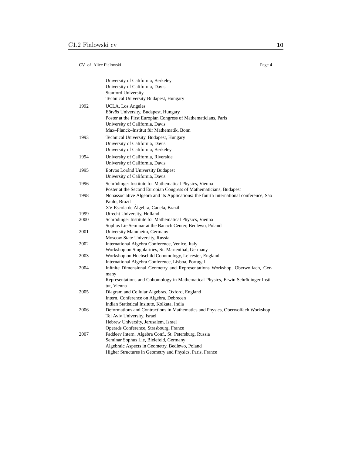|      | University of California, Berkeley<br>University of California, Davis<br><b>Stanford University</b><br>Technical University Budapest, Hungary                                                                 |
|------|---------------------------------------------------------------------------------------------------------------------------------------------------------------------------------------------------------------|
| 1992 | UCLA, Los Angeles<br>Eötvös University, Budapest, Hungary<br>Poster at the First Europian Congress of Mathematicians, Paris<br>University of California, Davis<br>Max-Planck-Institut für Mathematik, Bonn    |
| 1993 | Technical University, Budapest, Hungary<br>University of California, Davis<br>University of California, Berkeley                                                                                              |
| 1994 | University of California, Riverside<br>University of California, Davis                                                                                                                                        |
| 1995 | Eötvös Loránd University Budapest<br>University of California, Davis                                                                                                                                          |
| 1996 | Schrödinger Institute for Mathematical Physics, Vienna<br>Poster at the Second Europian Congress of Mathematicians, Budapest                                                                                  |
| 1998 | Nonassociative Algebra and its Applications: the fourth International conference, São<br>Paulo, Brazil<br>XV Escola de Álgebra, Canela, Brazil                                                                |
| 1999 | Utrecht University, Holland                                                                                                                                                                                   |
| 2000 | Schrödinger Institute for Mathematical Physics, Vienna<br>Sophus Lie Seminar at the Banach Center, Bedlewo, Poland                                                                                            |
| 2001 | University Mannheim, Germany<br>Moscow State University, Russia                                                                                                                                               |
| 2002 | International Algebra Conference, Venice, Italy<br>Workshop on Singularities, St. Marienthal, Germany                                                                                                         |
| 2003 | Workshop on Hochschild Cohomology, Leicester, England<br>International Algebra Conference, Lisboa, Portugal                                                                                                   |
| 2004 | Infinite Dimensional Geometry and Representations Workshop, Oberwolfach, Ger-<br>many<br>Representations and Cohomology in Mathematical Physics, Erwin Schrödinger Insti-<br>tut, Vienna                      |
| 2005 | Diagram and Cellular Algebras, Oxford, England<br>Intern. Conference on Algebra, Debrecen<br>Indian Statistical Insitute, Kolkata, India                                                                      |
| 2006 | Deformations and Contractions in Mathematics and Physics, Oberwolfach Workshop<br>Tel Aviv University, Israel<br>Hebrew University, Jerusalem, Israel<br>Operads Conference, Strasbourg, France               |
| 2007 | Faddeev Intern. Algebra Conf., St. Petersburg, Russia<br>Seminar Sophus Lie, Bielefeld, Germany<br>Algebraic Aspects in Geometry, Bedlewo, Poland<br>Higher Structures in Geometry and Physics, Paris, France |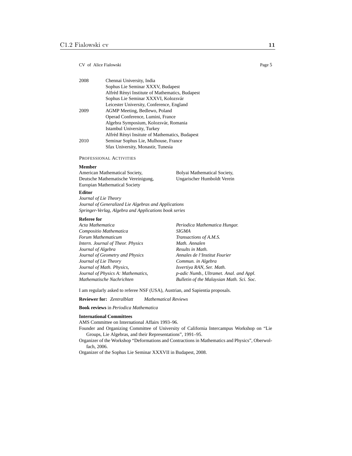| 2008 | Chennai University, India                       |
|------|-------------------------------------------------|
|      | Sophus Lie Seminar XXXV, Budapest               |
|      | Alfréd Rényi Institute of Mathematics, Budapest |
|      | Sophus Lie Seminar XXXVI, Kolozsvár             |
|      | Leicester University, Conference, England       |
| 2009 | AGMP Meeting, Bedlewo, Poland                   |
|      | Operad Conference, Lumini, France               |
|      | Algebra Symposium, Kolozsvár, Romania           |
|      | Istambul University, Turkey                     |
|      | Alfréd Rényi Insitute of Mathematics, Budapest  |
| 2010 | Seminar Sophus Lie, Mulhouse, France            |
|      | Sfax University, Monastir, Tunesia              |

PROFESSIONAL ACTIVITIES

#### **Member**

American Mathematical Society, Deutsche Mathematische Vereinigung, Europian Mathematical Society Bolyai Mathematical Society, Ungarischer Humboldt Verein

#### **Editor**

*Journal of Lie Theory Journal of Generalized Lie Algebras and Applications Springer-Verlag, Algebra and Applications book series*

#### **Referee for**

| Acta Mathematica                   | Periodica Mathematica Hungar.             |
|------------------------------------|-------------------------------------------|
| Compositio Mathematica             | SIGMA                                     |
| Forum Mathematicum                 | Transactions of A.M.S.                    |
| Intern. Journal of Theor. Physics  | Math. Annalen                             |
| Journal of Algebra                 | Results in Math.                          |
| Journal of Geometry and Physics    | Annales de l'Institut Fourier             |
| Journal of Lie Theory              | Commun. in Algebra                        |
| Journal of Math. Physics,          | Isvertiya RAN, Ser. Math.                 |
| Journal of Physics A: Mathematics, | p-adic Numb., Ultramet. Anal. and Appl.   |
| Mathematische Nachrichten          | Bulletin of the Malaysian Math. Sci. Soc. |

I am regularly asked to referee NSF (USA), Austrian, and Sapientia proposals.

**Reviewer for:** *Zentralblatt Mathematical Reviews*

**Book reviews** in *Periodica Mathematica*

#### **International Committees**

AMS Committee on International Affairs 1993–96.

- Founder and Organizing Committee of University of California Intercampus Workshop on "Lie Groups, Lie Algebras, and their Representations", 1991–95.
- Organizer of the Workshop "Deformations and Contractions in Mathematics and Physics", Oberwolfach, 2006.

Organizer of the Sophus Lie Seminar XXXVII in Budapest, 2008.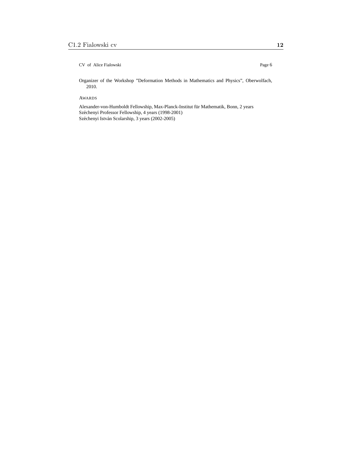Organizer of the Workshop "Deformation Methods in Mathematics and Physics", Oberwolfach, 2010.

AWARDS

Alexander-von-Humboldt Fellowship, Max-Planck-Institut für Mathematik, Bonn, 2 years Széchenyi Professor Fellowship, 4 years (1998-2001) Széchenyi István Scolarship, 3 years (2002-2005)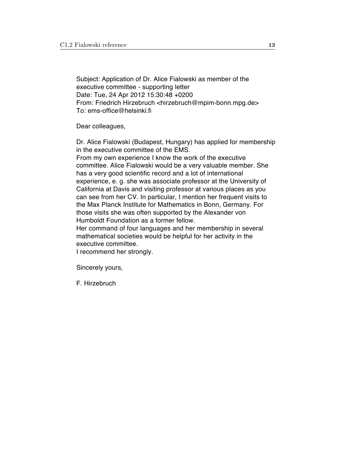Subject: Application of Dr. Alice Fialowski as member of the executive committee - supporting letter Date: Tue, 24 Apr 2012 15:30:48 +0200 From: Friedrich Hirzebruch <hirzebruch@mpim-bonn.mpg.de> To: ems-office@helsinki.fi

Dear colleagues,

Dr. Alice Fialowski (Budapest, Hungary) has applied for membership in the executive committee of the EMS.

From my own experience I know the work of the executive committee. Alice Fialowski would be a very valuable member. She has a very good scientific record and a lot of international experience, e. g. she was associate professor at the University of California at Davis and visiting professor at various places as you can see from her CV. In particular, I mention her frequent visits to the Max Planck Institute for Mathematics in Bonn, Germany. For those visits she was often supported by the Alexander von Humboldt Foundation as a former fellow.

Her command of four languages and her membership in several mathematical societies would be helpful for her activity in the executive committee.

I recommend her strongly.

Sincerely yours,

F. Hirzebruch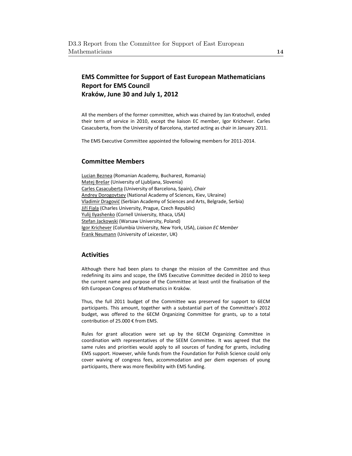# **EMS Committee for Support of East European Mathematicians Report for EMS Council Kraków, June 30 and July 1, 2012**

All the members of the former committee, which was chaired by Jan Kratochvíl, ended their term of service in 2010, except the liaison EC member, Igor Krichever. Carles Casacuberta, from the University of Barcelona, started acting as chair in January 2011.

The EMS Executive Committee appointed the following members for 2011-2014.

# **Committee Members**

Lucian Beznea (Romanian Academy, Bucharest, Romania) Matej Brešar (University of Ljubljana, Slovenia) Carles Casacuberta (University of Barcelona, Spain), *Chair* Andrey Dorogovtsev (National Academy of Sciences, Kiev, Ukraine) Vladimir Dragović (Serbian Academy of Sciences and Arts, Belgrade, Serbia) Jiří Fiala (Charles University, Prague, Czech Republic) Yulij Ilyashenko (Cornell University, Ithaca, USA) Stefan Jackowski (Warsaw University, Poland) Igor Krichever (Columbia University, New York, USA), *Liaison EC Member* Frank Neumann (University of Leicester, UK)

# **Activities**

Although there had been plans to change the mission of the Committee and thus redefining its aims and scope, the EMS Executive Committee decided in 2010 to keep the current name and purpose of the Committee at least until the finalisation of the 6th European Congress of Mathematics in Kraków.

Thus, the full 2011 budget of the Committee was preserved for support to 6ECM participants. This amount, together with a substantial part of the Committee's 2012 budget, was offered to the 6ECM Organizing Committee for grants, up to a total contribution of 25.000 € from EMS.

Rules for grant allocation were set up by the 6ECM Organizing Committee in coordination with representatives of the SEEM Committee. It was agreed that the same rules and priorities would apply to all sources of funding for grants, including EMS support. However, while funds from the Foundation for Polish Science could only cover waiving of congress fees, accommodation and per diem expenses of young participants, there was more flexibility with EMS funding.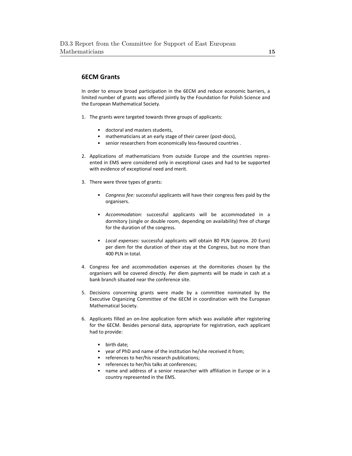# **6ECM Grants**

In order to ensure broad participation in the 6ECM and reduce economic barriers, a limited number of grants was offered jointly by the Foundation for Polish Science and the European Mathematical Society.

- 1. The grants were targeted towards three groups of applicants:
	- doctoral and masters students,
	- mathematicians at an early stage of their career (post-docs),
	- senior researchers from economically less-favoured countries.
- 2. Applications of mathematicians from outside Europe and the countries represented in EMS were considered only in exceptional cases and had to be supported with evidence of exceptional need and merit.
- 3. There were three types of grants:
	- *Congress fee:* successful applicants will have their congress fees paid by the organisers.
	- *Accommodation:* successful applicants will be accommodated in a dormitory (single or double room, depending on availability) free of charge for the duration of the congress.
	- *Local expenses:* successful applicants will obtain 80 PLN (approx. 20 Euro) per diem for the duration of their stay at the Congress, but no more than 400 PLN in total.
- 4. Congress fee and accommodation expenses at the dormitories chosen by the organisers will be covered directly. Per diem payments will be made in cash at a bank branch situated near the conference site.
- 5. Decisions concerning grants were made by a committee nominated by the Executive Organizing Committee of the 6ECM in coordination with the European Mathematical Society.
- 6. Applicants filled an on-line application form which was available after registering for the 6ECM. Besides personal data, appropriate for registration, each applicant had to provide:
	- birth date;
	- year of PhD and name of the institution he/she received it from;
	- references to her/his research publications;
	- references to her/his talks at conferences;
	- name and address of a senior researcher with affiliation in Europe or in a country represented in the EMS.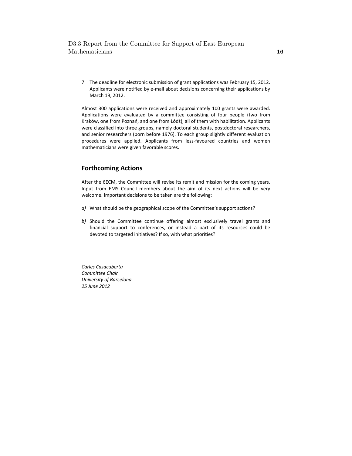7. The deadline for electronic submission of grant applications was February 15, 2012. Applicants were notified by e-mail about decisions concerning their applications by March 19, 2012.

Almost 300 applications were received and approximately 100 grants were awarded. Applications were evaluated by a committee consisting of four people (two from Kraków, one from Poznań, and one from Łódź), all of them with habilitation. Applicants were classified into three groups, namely doctoral students, postdoctoral researchers, and senior researchers (born before 1976). To each group slightly different evaluation procedures were applied. Applicants from less-favoured countries and women mathematicians were given favorable scores.

# **Forthcoming Actions**

After the 6ECM, the Committee will revise its remit and mission for the coming years. Input from EMS Council members about the aim of its next actions will be very welcome. Important decisions to be taken are the following:

- *a)* What should be the geographical scope of the Committee's support actions?
- *b)* Should the Committee continue offering almost exclusively travel grants and financial support to conferences, or instead a part of its resources could be devoted to targeted initiatives? If so, with what priorities?

*Carles Casacuberta Committee Chair University of Barcelona 25 June 2012*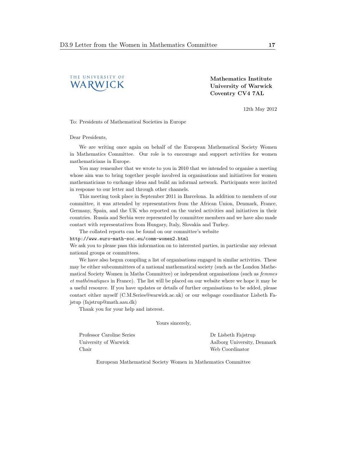

Mathematics Institute University of Warwick Coventry CV4 7AL

12th May 2012

To: Presidents of Mathematical Societies in Europe

Dear Presidents,

We are writing once again on behalf of the European Mathematical Society Women in Mathematics Committee. Our role is to encourage and support activities for women mathematicians in Europe.

You may remember that we wrote to you in 2010 that we intended to organise a meeting whose aim was to bring together people involved in organisations and initiatives for women mathematicians to exchange ideas and build an informal network. Participants were invited in response to our letter and through other channels.

This meeting took place in September 2011 in Barcelona. In addition to members of our committee, it was attended by representatives from the African Union, Denmark, France, Germany, Spain, and the UK who reported on the varied activities and initiatives in their countries. Russia and Serbia were represented by committee members and we have also made contact with representatives from Hungary, Italy, Slovakia and Turkey.

The collated reports can be found on our committee's website

http://www.euro-math-soc.eu/comm-women2.html

We ask you to please pass this information on to interested parties, in particular any relevant national groups or committees.

We have also begun compiling a list of organisations engaged in similar activities. These may be either subcommittees of a national mathematical society (such as the London Mathematical Society Women in Maths Committee) or independent organisations (such as femmes et mathématiques in France). The list will be placed on our website where we hope it may be a useful resource. If you have updates or details of further organisations to be added, please contact either myself (C.M.Series@warwick.ac.uk) or our webpage coordinator Lisbeth Fajstup (fajstrup@math.aau.dk)

Thank you for your help and interest.

Yours sincerely,

Professor Caroline Series University of Warwick Chair

Dr Lisbeth Fajstrup Aalborg University, Denmark Web Coordinator

European Mathematical Society Women in Mathematics Committee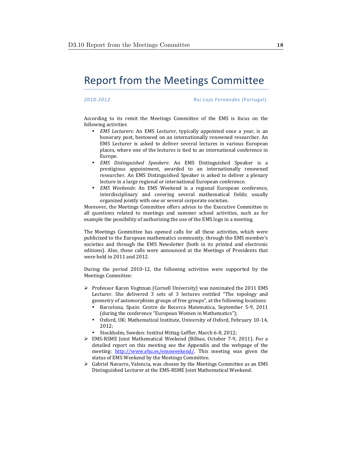# Report from the Meetings Committee

*2010\$2012 %%%%%%%%%Rui%Loja%Fernandes%*(Portugal)

According to its remit the Meetings Committee of the EMS is focus on the following activities

- *EMS Lecturers*: An EMS Lecturer, typically appointed once a year, is an honorary post, bestowed on an internationally renowned researcher. An EMS Lecturer is asked to deliver several lectures in various European places, where one of the lectures is tied to an international conference in Europe.!
- *EMS Distinguished Speakers***:** An EMS Distinguished Speaker is a prestigious appointment, awarded to an internationally renowned researcher. An EMS Distinguished Speaker is asked to deliver a plenary lecture in a large regional or international European conference.
- *EMS Weekends*: An EMS Weekend is a regional European conference, interdisciplinary and covering several mathematical fields; usually organized jointly with one or several corporate societies.

Moreover, the Meetings Committee offers advice to the Executive Committee in all questions related to meetings and summer school activities, such as for example the possibility of authorizing the use of the EMS logo in a meeting.

The Meetings Committee has opened calls for all these activities, which were publicized to the European mathematics community, through the EMS member's societies and through the EMS Newsletter (both in its printed and electronic editions). Also, these calls were announced at the Meetings of Presidents that were held in 2011 and 2012.

During the period 2010-12, the following activities were supported by the Meetings Committee:

- $\triangleright$  Professor Karen Vogtman (Cornell University) was nominated the 2011 EMS Lecturer. She delivered 3 sets of 3 lectures entitled "The topology and geometry of automorphism groups of free groups", at the following locations:
	- Barcelona, Spain: Centre de Recerca Matematica, September 5-9, 2011 (during the conference "European Women in Mathematics");
	- Oxford, UK: Mathematical Institute, University of Oxford, February 10-14, 2012;
	- Stockholm, Sweden: Institut Mittag-Leffler, March 6-8, 2012;
- $\triangleright$  EMS-RSME Joint Mathematical Weekend (Bilbao, October 7-9, 2011). For a detailed report on this meeting see the Appendix and the webpage of the meeting: http://www.ehu.es/emsweekend/. This meeting was given the status of EMS Weekend by the Meetings Committee.
- $\triangleright$  Gabriel Navarro, Valencia, was chosen by the Meetings Committee as an EMS Distinguished Lecturer at the EMS-RSME Joint Mathematical Weekend.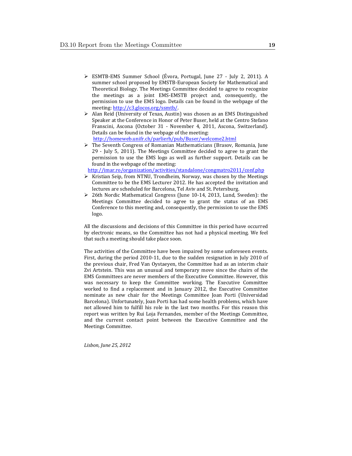- > ESMTB-EMS Summer School (Évora, Portugal, June 27 July 2, 2011). A summer school proposed by EMSTB-European Society for Mathematical and Theoretical Biology. The Meetings Committee decided to agree to recognize the meetings as a joint EMS-EMSTB project and, consequently, the permission to use the EMS logo. Details can be found in the webpage of the meeting: http://c3.glocos.org/ssmtb/.
- Alan Reid (University of Texas, Austin) was chosen as an EMS Distinguished Speaker at the Conference in Honor of Peter Buser, held at the Centro Stefano Franscini, Ascona (October 31 - November 4, 2011, Ascona, Switzerland). Details can be found in the webpage of the meeting: http://homeweb.unifr.ch/parlierh/pub/Buser/welcome2.html
- $\triangleright$  The Seventh Congress of Romanian Mathematicians (Brasov, Romania, June 29 - July 5, 2011). The Meetings Committee decided to agree to grant the permission to use the EMS logo as well as further support. Details can be found in the webpage of the meeting:

http://imar.ro/organization/activities/standalone/congmatro2011/conf.php

- $\triangleright$  Kristian Seip, from NTNU, Trondheim, Norway, was chosen by the Meetings Committee to be the EMS Lecturer 2012. He has accepted the invitation and lectures are scheduled for Barcelona, Tel Aviv and St. Petersburg.
- $\geq$  26th Nordic Mathematical Congress (June 10-14, 2013, Lund, Sweden): the Meetings Committee decided to agree to grant the status of an EMS Conference to this meeting and, consequently, the permission to use the EMS logo.

All the discussions and decisions of this Committee in this period have occurred by electronic means, so the Committee has not had a physical meeting. We feel that such a meeting should take place soon.

The activities of the Committee have been impaired by some unforeseen events. First, during the period 2010-11, due to the sudden resignation in July 2010 of the previous chair, Fred Van Oystaeyen, the Committee had as an interim chair Zvi Artstein. This was an unusual and temporary move since the chairs of the EMS Committees are never members of the Executive Committee. However, this was necessary to keep the Committee working. The Executive Committee worked to find a replacement and in January 2012, the Executive Committee nominate as new chair for the Meetings Committee Joan Porti (Universidad Barcelona). Unfortunately, Joan Porti has had some health problems, which have not allowed him to fulfill his role in the last two months. For this reason this report was written by Rui Loja Fernandes, member of the Meetings Committee, and the current contact point between the Executive Committee and the Meetings Committee.

*Lisbon,\$June\$25,\$2012*